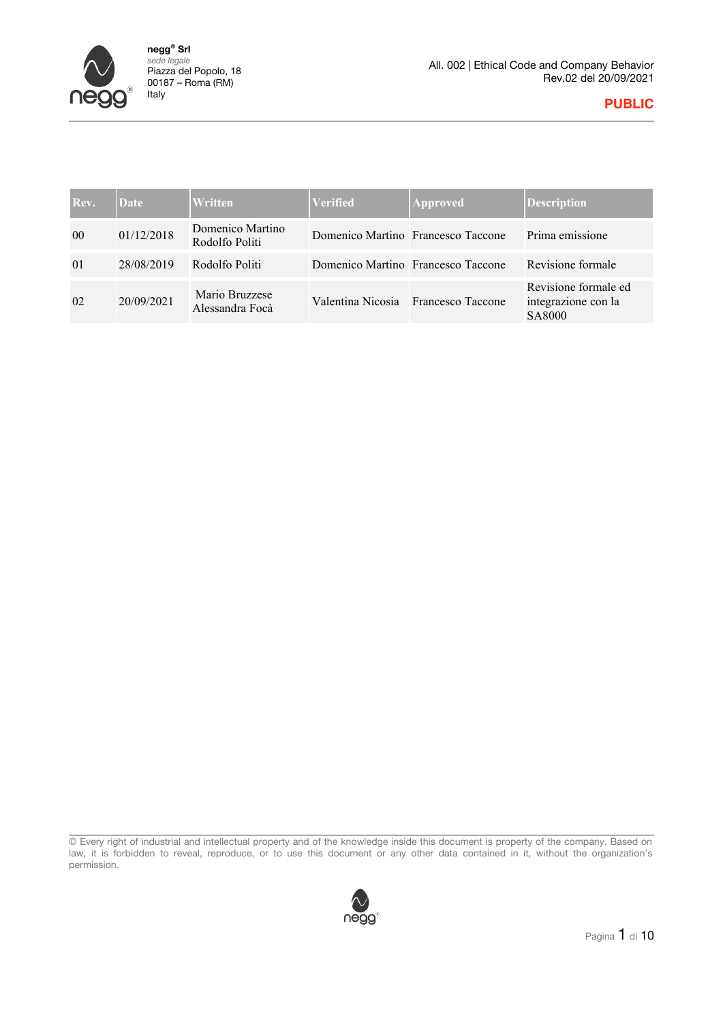

#### **PUBLIC**

| Rev.   | <b>Date</b> | Written                            | <b>Verified</b>                    | <b>Approved</b>                     | <b>Description</b>                                    |
|--------|-------------|------------------------------------|------------------------------------|-------------------------------------|-------------------------------------------------------|
| $00\,$ | 01/12/2018  | Domenico Martino<br>Rodolfo Politi |                                    | Domenico Martino Francesco Taccone  | Prima emissione                                       |
| 01     | 28/08/2019  | Rodolfo Politi                     | Domenico Martino Francesco Taccone |                                     | Revisione formale                                     |
| 02     | 20/09/2021  | Mario Bruzzese<br>Alessandra Focà  |                                    | Valentina Nicosia Francesco Taccone | Revisione formale ed<br>integrazione con la<br>SA8000 |

<sup>©</sup> Every right of industrial and intellectual property and of the knowledge inside this document is property of the company. Based on law, it is forbidden to reveal, reproduce, or to use this document or any other data contained in it, without the organization's permission.

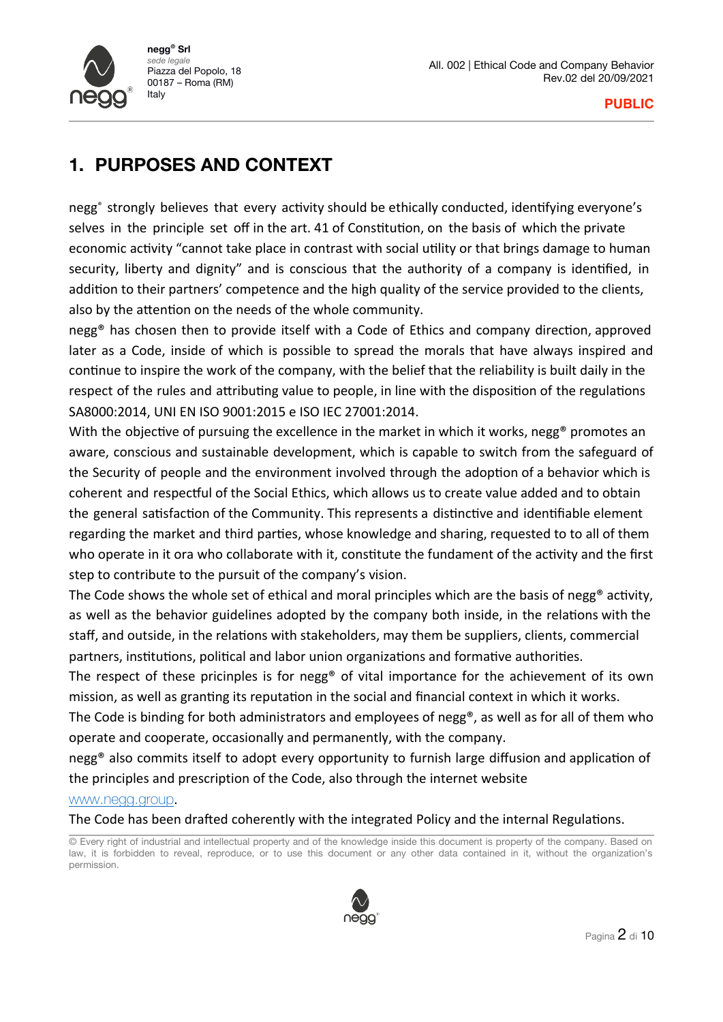## **1. PURPOSES AND CONTEXT**

negg<sup>®</sup> strongly believes that every activity should be ethically conducted, identifying everyone's selves in the principle set off in the art. 41 of Constitution, on the basis of which the private economic activity "cannot take place in contrast with social utility or that brings damage to human security, liberty and dignity" and is conscious that the authority of a company is identified, in addition to their partners' competence and the high quality of the service provided to the clients, also by the attention on the needs of the whole community.

negg® has chosen then to provide itself with a Code of Ethics and company direction, approved later as a Code, inside of which is possible to spread the morals that have always inspired and continue to inspire the work of the company, with the belief that the reliability is built daily in the respect of the rules and attributing value to people, in line with the disposition of the regulations SA8000:2014, UNI EN ISO 9001:2015 e ISO IEC 27001:2014.

With the objective of pursuing the excellence in the market in which it works, negg<sup>®</sup> promotes an aware, conscious and sustainable development, which is capable to switch from the safeguard of the Security of people and the environment involved through the adoption of a behavior which is coherent and respectful of the Social Ethics, which allows us to create value added and to obtain the general satisfaction of the Community. This represents a distinctive and identifiable element regarding the market and third parties, whose knowledge and sharing, requested to to all of them who operate in it ora who collaborate with it, constitute the fundament of the activity and the first step to contribute to the pursuit of the company's vision.

The Code shows the whole set of ethical and moral principles which are the basis of negg<sup>®</sup> activity, as well as the behavior guidelines adopted by the company both inside, in the relations with the staff, and outside, in the relations with stakeholders, may them be suppliers, clients, commercial partners, institutions, political and labor union organizations and formative authorities.

The respect of these pricinples is for negg® of vital importance for the achievement of its own mission, as well as granting its reputation in the social and financial context in which it works.

The Code is binding for both administrators and employees of negg®, as well as for all of them who operate and cooperate, occasionally and permanently, with the company.

negg® also commits itself to adopt every opportunity to furnish large diffusion and application of the principles and prescription of the Code, also through the internet website

#### www.negg.group.

The Code has been drafted coherently with the integrated Policy and the internal Regulations.

© Every right of industrial and intellectual property and of the knowledge inside this document is property of the company. Based on law, it is forbidden to reveal, reproduce, or to use this document or any other data contained in it, without the organization's permission.

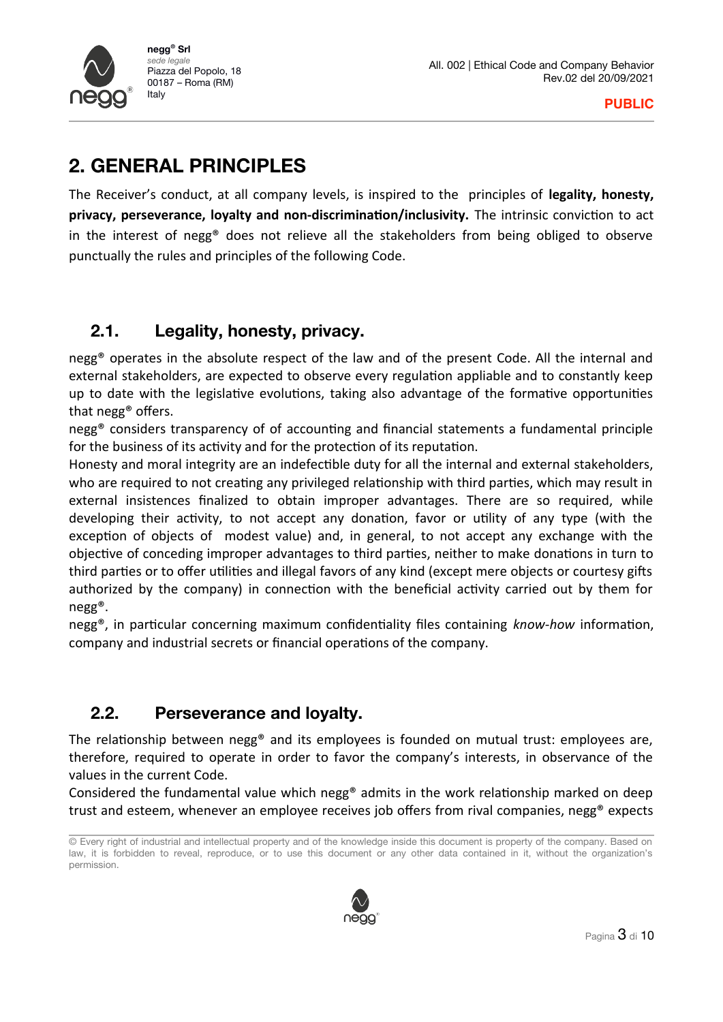# **2. GENERAL PRINCIPLES**

The Receiver's conduct, at all company levels, is inspired to the principles of **legality, honesty, privacy, perseverance, loyalty and non-discrimination/inclusivity.** The intrinsic conviction to act in the interest of negg® does not relieve all the stakeholders from being obliged to observe punctually the rules and principles of the following Code.

#### **2.1. Legality, honesty, privacy.**

negg® operates in the absolute respect of the law and of the present Code. All the internal and external stakeholders, are expected to observe every regulation appliable and to constantly keep up to date with the legislative evolutions, taking also advantage of the formative opportunities that negg® offers.

negg® considers transparency of of accounting and financial statements a fundamental principle for the business of its activity and for the protection of its reputation.

Honesty and moral integrity are an indefectible duty for all the internal and external stakeholders, who are required to not creating any privileged relationship with third parties, which may result in external insistences finalized to obtain improper advantages. There are so required, while developing their activity, to not accept any donation, favor or utility of any type (with the exception of objects of modest value) and, in general, to not accept any exchange with the objective of conceding improper advantages to third parties, neither to make donations in turn to third parties or to offer utilities and illegal favors of any kind (except mere objects or courtesy gifts authorized by the company) in connection with the beneficial activity carried out by them for negg®.

negg®, in particular concerning maximum confidentiality files containing *know-how* information, company and industrial secrets or financial operations of the company.

### **2.2. Perseverance and loyalty.**

The relationship between negg® and its employees is founded on mutual trust: employees are, therefore, required to operate in order to favor the company's interests, in observance of the values in the current Code.

Considered the fundamental value which negg® admits in the work relationship marked on deep trust and esteem, whenever an employee receives job offers from rival companies, negg® expects

<sup>©</sup> Every right of industrial and intellectual property and of the knowledge inside this document is property of the company. Based on law, it is forbidden to reveal, reproduce, or to use this document or any other data contained in it, without the organization's permission.

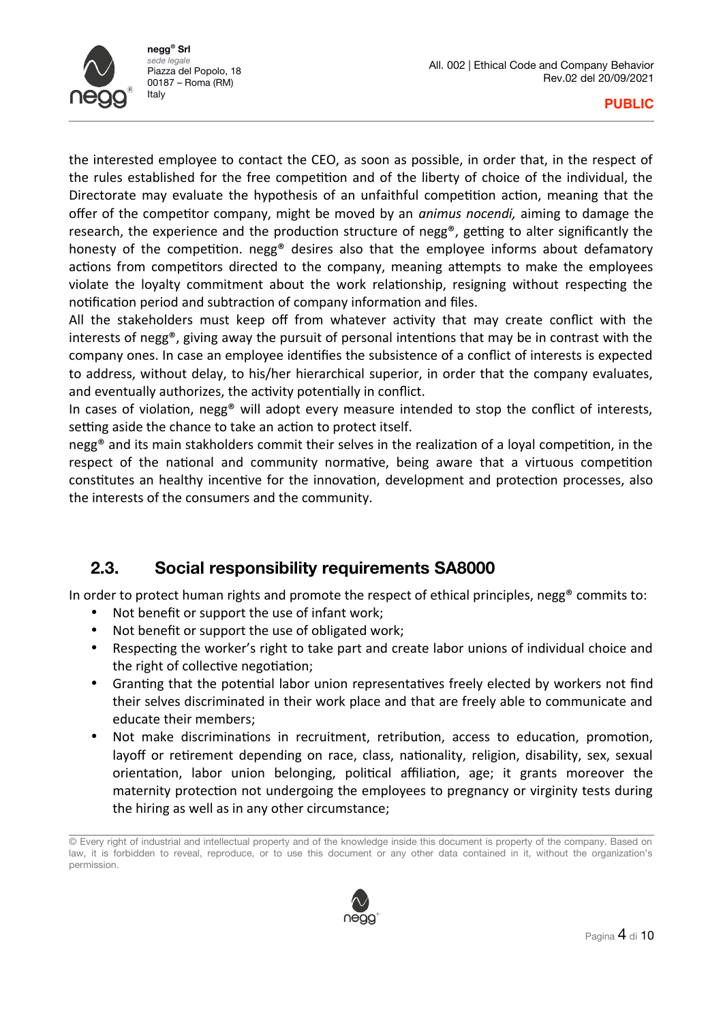

the interested employee to contact the CEO, as soon as possible, in order that, in the respect of the rules established for the free competition and of the liberty of choice of the individual, the Directorate may evaluate the hypothesis of an unfaithful competition action, meaning that the offer of the competitor company, might be moved by an *animus nocendi,* aiming to damage the research, the experience and the production structure of negg®, getting to alter significantly the honesty of the competition. negg® desires also that the employee informs about defamatory actions from competitors directed to the company, meaning attempts to make the employees violate the loyalty commitment about the work relationship, resigning without respecting the notification period and subtraction of company information and files.

All the stakeholders must keep off from whatever activity that may create conflict with the interests of negg®, giving away the pursuit of personal intentions that may be in contrast with the company ones. In case an employee identifies the subsistence of a conflict of interests is expected to address, without delay, to his/her hierarchical superior, in order that the company evaluates, and eventually authorizes, the activity potentially in conflict.

In cases of violation, negg<sup>®</sup> will adopt every measure intended to stop the conflict of interests, setting aside the chance to take an action to protect itself.

negg® and its main stakholders commit their selves in the realization of a loyal competition, in the respect of the national and community normative, being aware that a virtuous competition constitutes an healthy incentive for the innovation, development and protection processes, also the interests of the consumers and the community.

### **2.3. Social responsibility requirements SA8000**

In order to protect human rights and promote the respect of ethical principles, negg<sup>®</sup> commits to:

- Not benefit or support the use of infant work;
- Not benefit or support the use of obligated work;
- Respecting the worker's right to take part and create labor unions of individual choice and the right of collective negotiation;
- Granting that the potential labor union representatives freely elected by workers not find their selves discriminated in their work place and that are freely able to communicate and educate their members;
- Not make discriminations in recruitment, retribution, access to education, promotion, layoff or retirement depending on race, class, nationality, religion, disability, sex, sexual orientation, labor union belonging, political affiliation, age; it grants moreover the maternity protection not undergoing the employees to pregnancy or virginity tests during the hiring as well as in any other circumstance;

<sup>©</sup> Every right of industrial and intellectual property and of the knowledge inside this document is property of the company. Based on law, it is forbidden to reveal, reproduce, or to use this document or any other data contained in it, without the organization's permission.

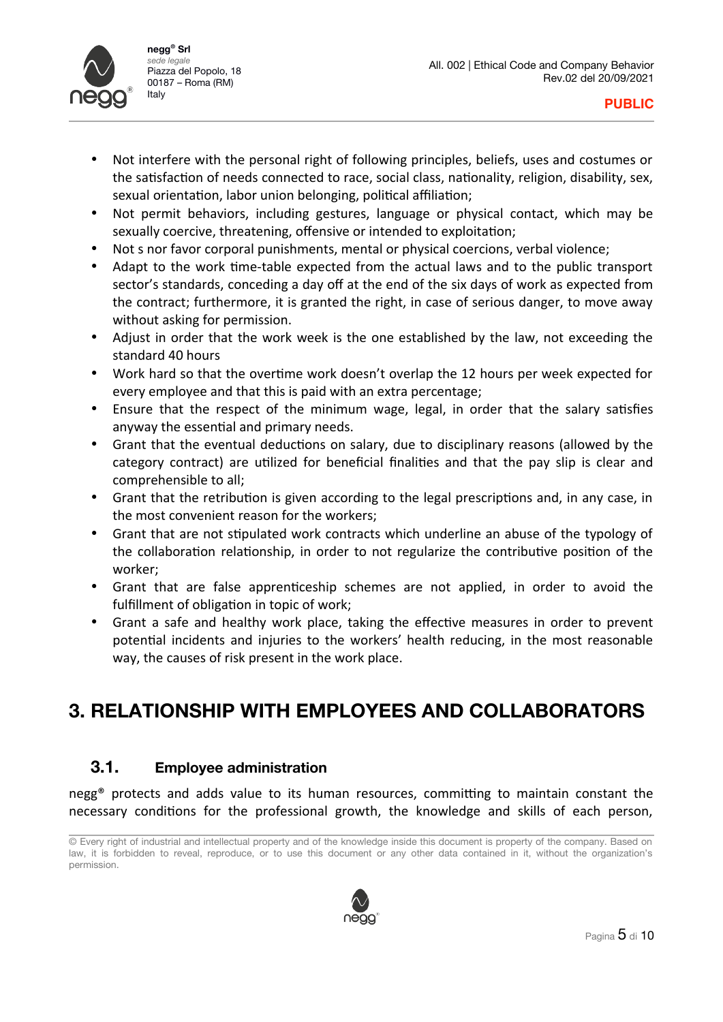

- Not interfere with the personal right of following principles, beliefs, uses and costumes or the satisfaction of needs connected to race, social class, nationality, religion, disability, sex, sexual orientation, labor union belonging, political affiliation;
- Not permit behaviors, including gestures, language or physical contact, which may be sexually coercive, threatening, offensive or intended to exploitation;
- Not s nor favor corporal punishments, mental or physical coercions, verbal violence;
- Adapt to the work time-table expected from the actual laws and to the public transport sector's standards, conceding a day off at the end of the six days of work as expected from the contract; furthermore, it is granted the right, in case of serious danger, to move away without asking for permission.
- Adjust in order that the work week is the one established by the law, not exceeding the standard 40 hours
- Work hard so that the overtime work doesn't overlap the 12 hours per week expected for every employee and that this is paid with an extra percentage;
- Ensure that the respect of the minimum wage, legal, in order that the salary satisfies anyway the essential and primary needs.
- Grant that the eventual deductions on salary, due to disciplinary reasons (allowed by the category contract) are utilized for beneficial finalities and that the pay slip is clear and comprehensible to all;
- Grant that the retribution is given according to the legal prescriptions and, in any case, in the most convenient reason for the workers;
- Grant that are not stipulated work contracts which underline an abuse of the typology of the collaboration relationship, in order to not regularize the contributive position of the worker;
- Grant that are false apprenticeship schemes are not applied, in order to avoid the fulfillment of obligation in topic of work;
- Grant a safe and healthy work place, taking the effective measures in order to prevent potential incidents and injuries to the workers' health reducing, in the most reasonable way, the causes of risk present in the work place.

# **3. RELATIONSHIP WITH EMPLOYEES AND COLLABORATORS**

#### **3.1. Employee administration**

negg® protects and adds value to its human resources, committing to maintain constant the necessary conditions for the professional growth, the knowledge and skills of each person,

<sup>©</sup> Every right of industrial and intellectual property and of the knowledge inside this document is property of the company. Based on law, it is forbidden to reveal, reproduce, or to use this document or any other data contained in it, without the organization's permission.

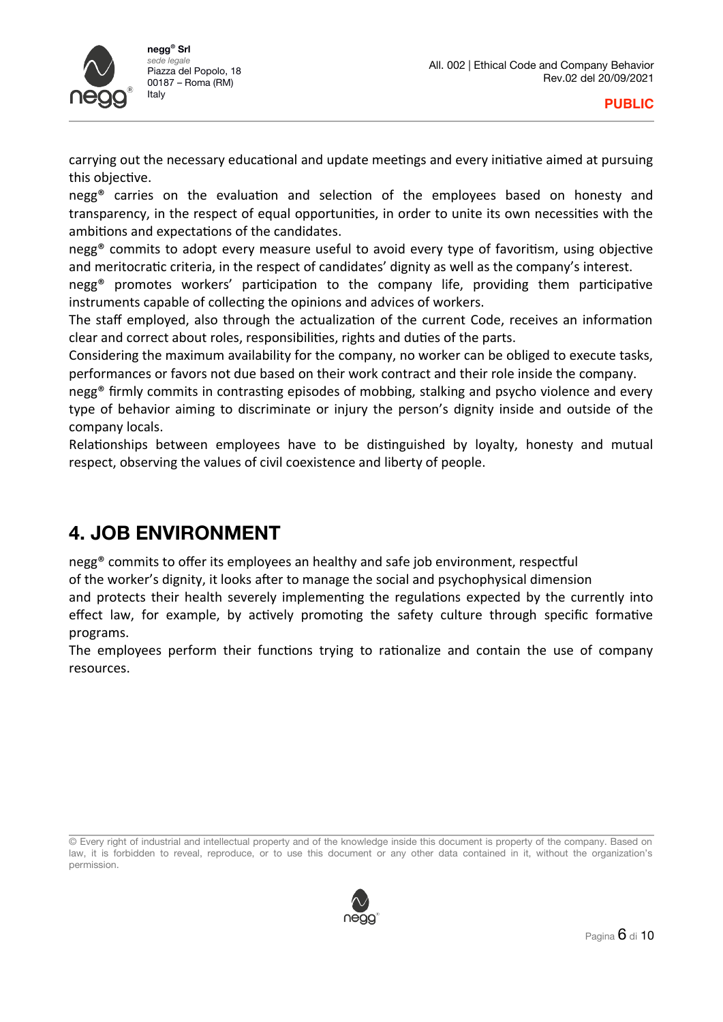

carrying out the necessary educational and update meetings and every initiative aimed at pursuing this objective.

negg® carries on the evaluation and selection of the employees based on honesty and transparency, in the respect of equal opportunities, in order to unite its own necessities with the ambitions and expectations of the candidates.

negg® commits to adopt every measure useful to avoid every type of favoritism, using objective and meritocratic criteria, in the respect of candidates' dignity as well as the company's interest.

negg® promotes workers' participation to the company life, providing them participative instruments capable of collecting the opinions and advices of workers.

The staff employed, also through the actualization of the current Code, receives an information clear and correct about roles, responsibilities, rights and duties of the parts.

Considering the maximum availability for the company, no worker can be obliged to execute tasks, performances or favors not due based on their work contract and their role inside the company.

negg® firmly commits in contrasting episodes of mobbing, stalking and psycho violence and every type of behavior aiming to discriminate or injury the person's dignity inside and outside of the company locals.

Relationships between employees have to be distinguished by loyalty, honesty and mutual respect, observing the values of civil coexistence and liberty of people.

# **4. JOB ENVIRONMENT**

negg® commits to offer its employees an healthy and safe job environment, respectful

of the worker's dignity, it looks after to manage the social and psychophysical dimension

and protects their health severely implementing the regulations expected by the currently into effect law, for example, by actively promoting the safety culture through specific formative programs.

The employees perform their functions trying to rationalize and contain the use of company resources.

© Every right of industrial and intellectual property and of the knowledge inside this document is property of the company. Based on law, it is forbidden to reveal, reproduce, or to use this document or any other data contained in it, without the organization's permission.

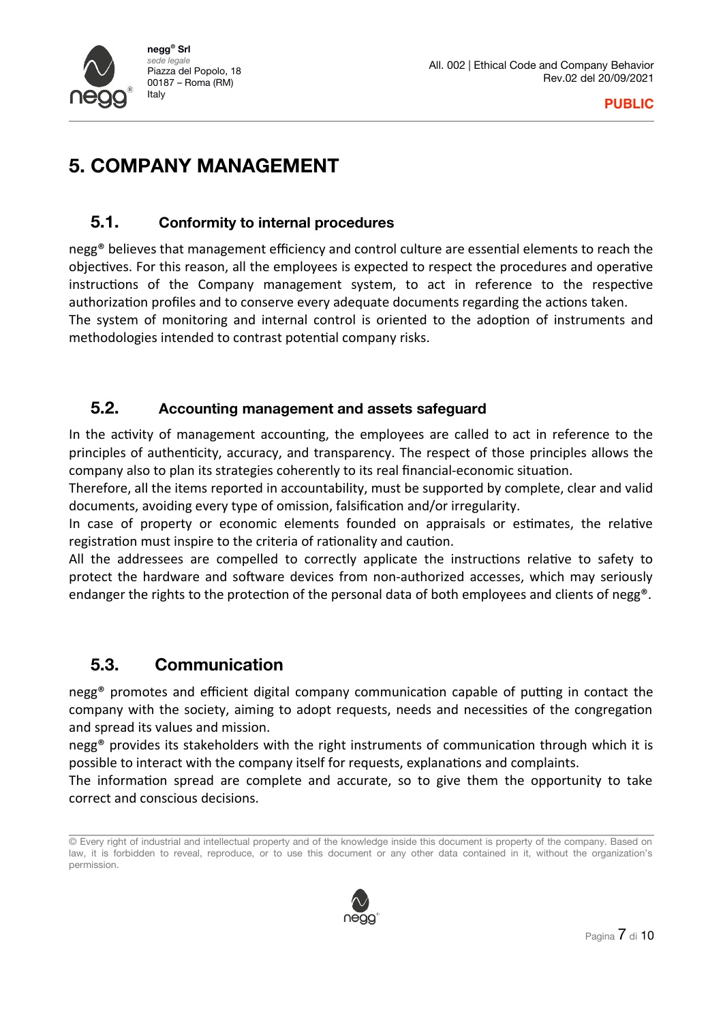

# **5. COMPANY MANAGEMENT**

#### **5.1. Conformity to internal procedures**

negg® believes that management efficiency and control culture are essential elements to reach the objectives. For this reason, all the employees is expected to respect the procedures and operative instructions of the Company management system, to act in reference to the respective authorization profiles and to conserve every adequate documents regarding the actions taken. The system of monitoring and internal control is oriented to the adoption of instruments and methodologies intended to contrast potential company risks.

#### **5.2. Accounting management and assets safeguard**

In the activity of management accounting, the employees are called to act in reference to the principles of authenticity, accuracy, and transparency. The respect of those principles allows the company also to plan its strategies coherently to its real financial-economic situation.

Therefore, all the items reported in accountability, must be supported by complete, clear and valid documents, avoiding every type of omission, falsification and/or irregularity.

In case of property or economic elements founded on appraisals or estimates, the relative registration must inspire to the criteria of rationality and caution.

All the addressees are compelled to correctly applicate the instructions relative to safety to protect the hardware and software devices from non-authorized accesses, which may seriously endanger the rights to the protection of the personal data of both employees and clients of negg®.

#### **5.3. Communication**

negg® promotes and efficient digital company communication capable of putting in contact the company with the society, aiming to adopt requests, needs and necessities of the congregation and spread its values and mission.

negg® provides its stakeholders with the right instruments of communication through which it is possible to interact with the company itself for requests, explanations and complaints.

The information spread are complete and accurate, so to give them the opportunity to take correct and conscious decisions.

<sup>©</sup> Every right of industrial and intellectual property and of the knowledge inside this document is property of the company. Based on law, it is forbidden to reveal, reproduce, or to use this document or any other data contained in it, without the organization's permission.

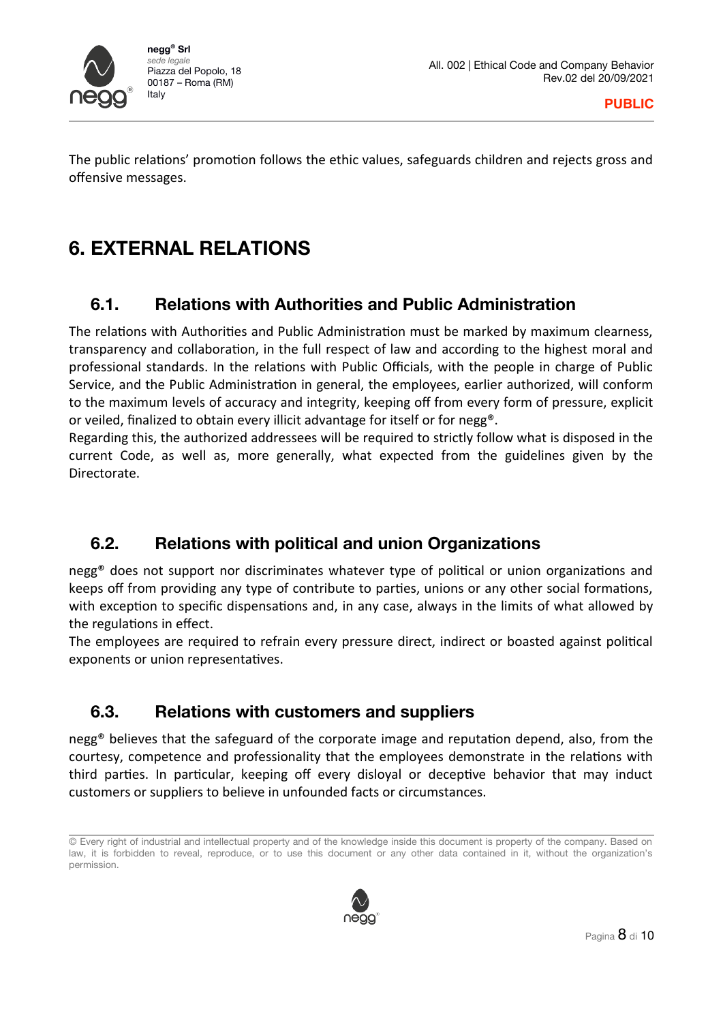

The public relations' promotion follows the ethic values, safeguards children and rejects gross and offensive messages.

# **6. EXTERNAL RELATIONS**

#### **6.1. Relations with Authorities and Public Administration**

The relations with Authorities and Public Administration must be marked by maximum clearness, transparency and collaboration, in the full respect of law and according to the highest moral and professional standards. In the relations with Public Officials, with the people in charge of Public Service, and the Public Administration in general, the employees, earlier authorized, will conform to the maximum levels of accuracy and integrity, keeping off from every form of pressure, explicit or veiled, finalized to obtain every illicit advantage for itself or for negg®.

Regarding this, the authorized addressees will be required to strictly follow what is disposed in the current Code, as well as, more generally, what expected from the guidelines given by the Directorate.

### **6.2. Relations with political and union Organizations**

negg® does not support nor discriminates whatever type of political or union organizations and keeps off from providing any type of contribute to parties, unions or any other social formations, with exception to specific dispensations and, in any case, always in the limits of what allowed by the regulations in effect.

The employees are required to refrain every pressure direct, indirect or boasted against political exponents or union representatives.

### **6.3. Relations with customers and suppliers**

negg<sup>®</sup> believes that the safeguard of the corporate image and reputation depend, also, from the courtesy, competence and professionality that the employees demonstrate in the relations with third parties. In particular, keeping off every disloyal or deceptive behavior that may induct customers or suppliers to believe in unfounded facts or circumstances.

<sup>©</sup> Every right of industrial and intellectual property and of the knowledge inside this document is property of the company. Based on law, it is forbidden to reveal, reproduce, or to use this document or any other data contained in it, without the organization's permission.

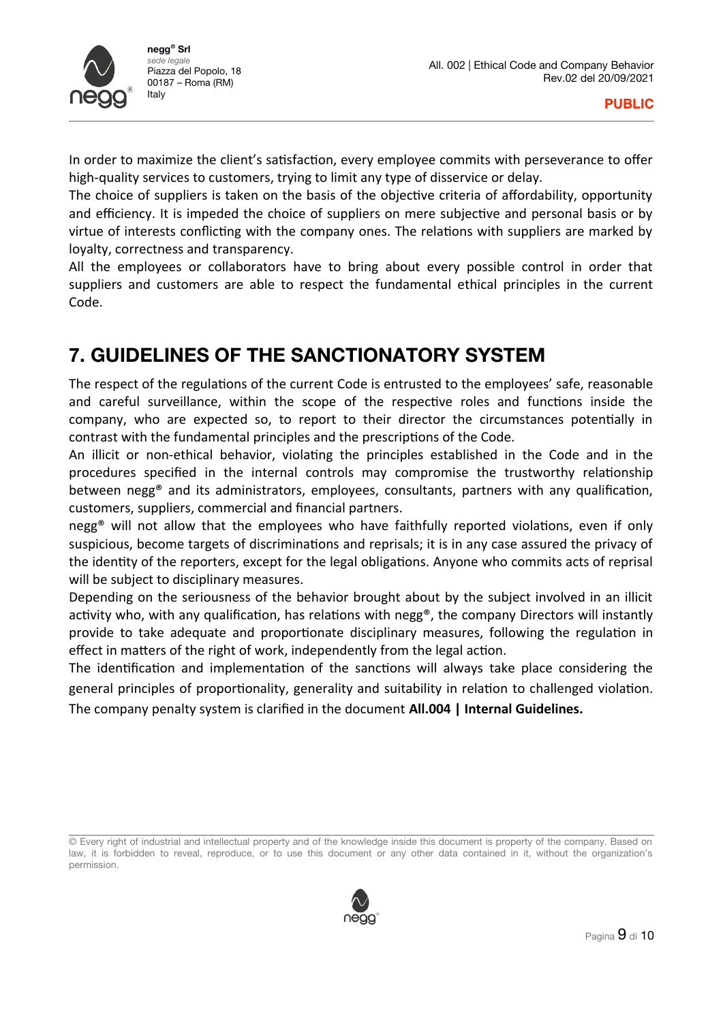

In order to maximize the client's satisfaction, every employee commits with perseverance to offer high-quality services to customers, trying to limit any type of disservice or delay.

The choice of suppliers is taken on the basis of the objective criteria of affordability, opportunity and efficiency. It is impeded the choice of suppliers on mere subjective and personal basis or by virtue of interests conflicting with the company ones. The relations with suppliers are marked by loyalty, correctness and transparency.

All the employees or collaborators have to bring about every possible control in order that suppliers and customers are able to respect the fundamental ethical principles in the current Code.

# **7. GUIDELINES OF THE SANCTIONATORY SYSTEM**

The respect of the regulations of the current Code is entrusted to the employees' safe, reasonable and careful surveillance, within the scope of the respective roles and functions inside the company, who are expected so, to report to their director the circumstances potentially in contrast with the fundamental principles and the prescriptions of the Code.

An illicit or non-ethical behavior, violating the principles established in the Code and in the procedures specified in the internal controls may compromise the trustworthy relationship between negg® and its administrators, employees, consultants, partners with any qualification, customers, suppliers, commercial and financial partners.

negg® will not allow that the employees who have faithfully reported violations, even if only suspicious, become targets of discriminations and reprisals; it is in any case assured the privacy of the identity of the reporters, except for the legal obligations. Anyone who commits acts of reprisal will be subject to disciplinary measures.

Depending on the seriousness of the behavior brought about by the subject involved in an illicit activity who, with any qualification, has relations with negg®, the company Directors will instantly provide to take adequate and proportionate disciplinary measures, following the regulation in effect in matters of the right of work, independently from the legal action.

The identification and implementation of the sanctions will always take place considering the general principles of proportionality, generality and suitability in relation to challenged violation. The company penalty system is clarified in the document **All.004 | Internal Guidelines.**

<sup>©</sup> Every right of industrial and intellectual property and of the knowledge inside this document is property of the company. Based on law, it is forbidden to reveal, reproduce, or to use this document or any other data contained in it, without the organization's permission.